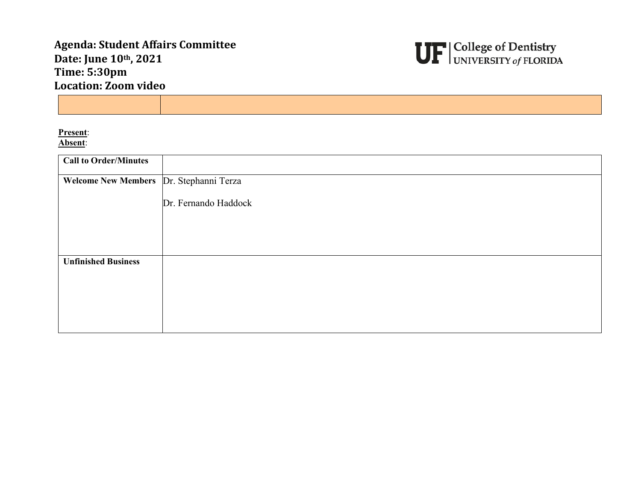## **Agenda: Student Affairs Committee Date: June 10th, 2021 Time: 5:30pm Location: Zoom video**



**Present**: **Absent**:

| <b>Call to Order/Minutes</b>            |                      |
|-----------------------------------------|----------------------|
| Welcome New Members Dr. Stephanni Terza |                      |
|                                         | Dr. Fernando Haddock |
|                                         |                      |
|                                         |                      |
| <b>Unfinished Business</b>              |                      |
|                                         |                      |
|                                         |                      |
|                                         |                      |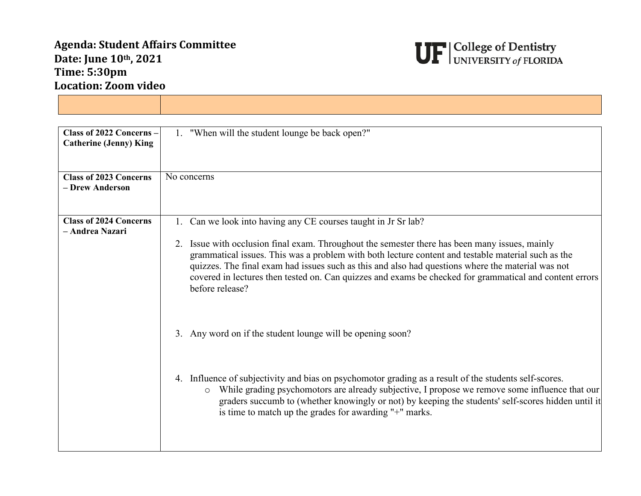## **Agenda: Student Affairs Committee Date: June 10th, 2021 Time: 5:30pm Location: Zoom video**

**The Community** 



| Class of 2022 Concerns -<br><b>Catherine (Jenny) King</b> | 1. "When will the student lounge be back open?"                                                                                                                                                                                                                                                                                                                                                                                         |
|-----------------------------------------------------------|-----------------------------------------------------------------------------------------------------------------------------------------------------------------------------------------------------------------------------------------------------------------------------------------------------------------------------------------------------------------------------------------------------------------------------------------|
| <b>Class of 2023 Concerns</b><br>- Drew Anderson          | No concerns                                                                                                                                                                                                                                                                                                                                                                                                                             |
| <b>Class of 2024 Concerns</b><br>- Andrea Nazari          | 1. Can we look into having any CE courses taught in Jr Sr lab?                                                                                                                                                                                                                                                                                                                                                                          |
|                                                           | 2. Issue with occlusion final exam. Throughout the semester there has been many issues, mainly<br>grammatical issues. This was a problem with both lecture content and testable material such as the<br>quizzes. The final exam had issues such as this and also had questions where the material was not<br>covered in lectures then tested on. Can quizzes and exams be checked for grammatical and content errors<br>before release? |
|                                                           | 3. Any word on if the student lounge will be opening soon?                                                                                                                                                                                                                                                                                                                                                                              |
|                                                           | 4. Influence of subjectivity and bias on psychomotor grading as a result of the students self-scores.<br>While grading psychomotors are already subjective, I propose we remove some influence that our<br>$\circ$<br>graders succumb to (whether knowingly or not) by keeping the students' self-scores hidden until it<br>is time to match up the grades for awarding "+" marks.                                                      |